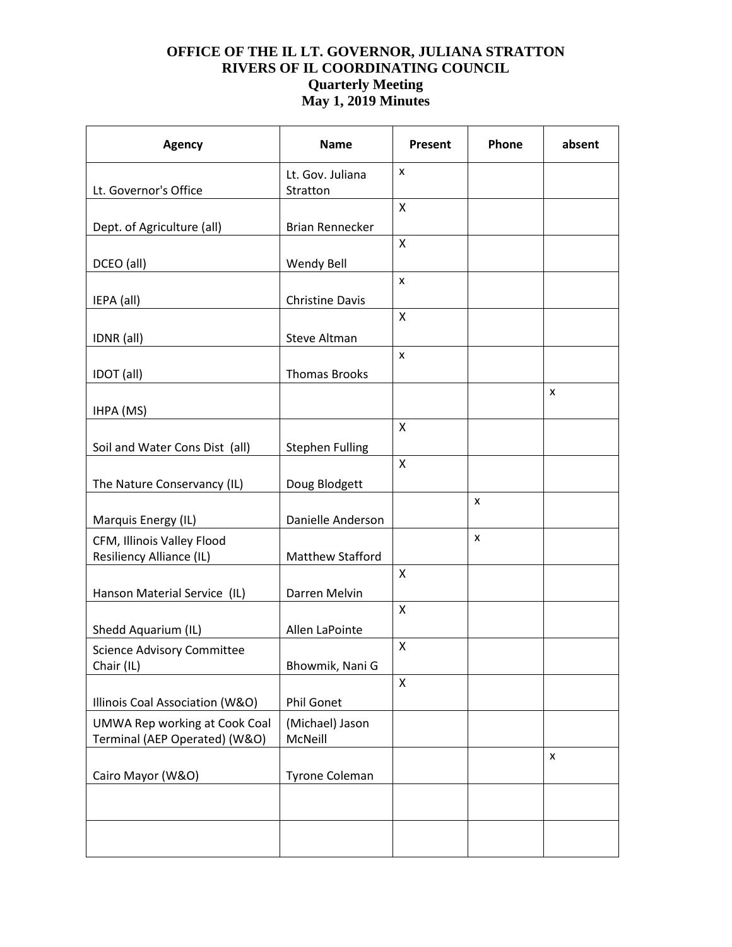| <b>Agency</b>                                                         | <b>Name</b>                  | Present        | Phone | absent |
|-----------------------------------------------------------------------|------------------------------|----------------|-------|--------|
| Lt. Governor's Office                                                 | Lt. Gov. Juliana<br>Stratton | X              |       |        |
|                                                                       |                              | X              |       |        |
| Dept. of Agriculture (all)                                            | <b>Brian Rennecker</b>       |                |       |        |
| DCEO (all)                                                            | <b>Wendy Bell</b>            | Χ              |       |        |
| IEPA (all)                                                            | <b>Christine Davis</b>       | X              |       |        |
| IDNR (all)                                                            | Steve Altman                 | X              |       |        |
| IDOT (all)                                                            | <b>Thomas Brooks</b>         | $\pmb{\times}$ |       |        |
| IHPA (MS)                                                             |                              |                |       | X      |
| Soil and Water Cons Dist (all)                                        | <b>Stephen Fulling</b>       | $\mathsf{x}$   |       |        |
| The Nature Conservancy (IL)                                           | Doug Blodgett                | $\mathsf{X}$   |       |        |
| Marquis Energy (IL)                                                   | Danielle Anderson            |                | X     |        |
| CFM, Illinois Valley Flood<br><b>Resiliency Alliance (IL)</b>         | Matthew Stafford             |                | X     |        |
| Hanson Material Service (IL)                                          | Darren Melvin                | Χ              |       |        |
| Shedd Aquarium (IL)                                                   | Allen LaPointe               | X              |       |        |
| <b>Science Advisory Committee</b><br>Chair (IL)                       | Bhowmik, Nani G              | X              |       |        |
| Illinois Coal Association (W&O)                                       | <b>Phil Gonet</b>            | X              |       |        |
| <b>UMWA Rep working at Cook Coal</b><br>Terminal (AEP Operated) (W&O) | (Michael) Jason<br>McNeill   |                |       |        |
| Cairo Mayor (W&O)                                                     | Tyrone Coleman               |                |       | x      |
|                                                                       |                              |                |       |        |
|                                                                       |                              |                |       |        |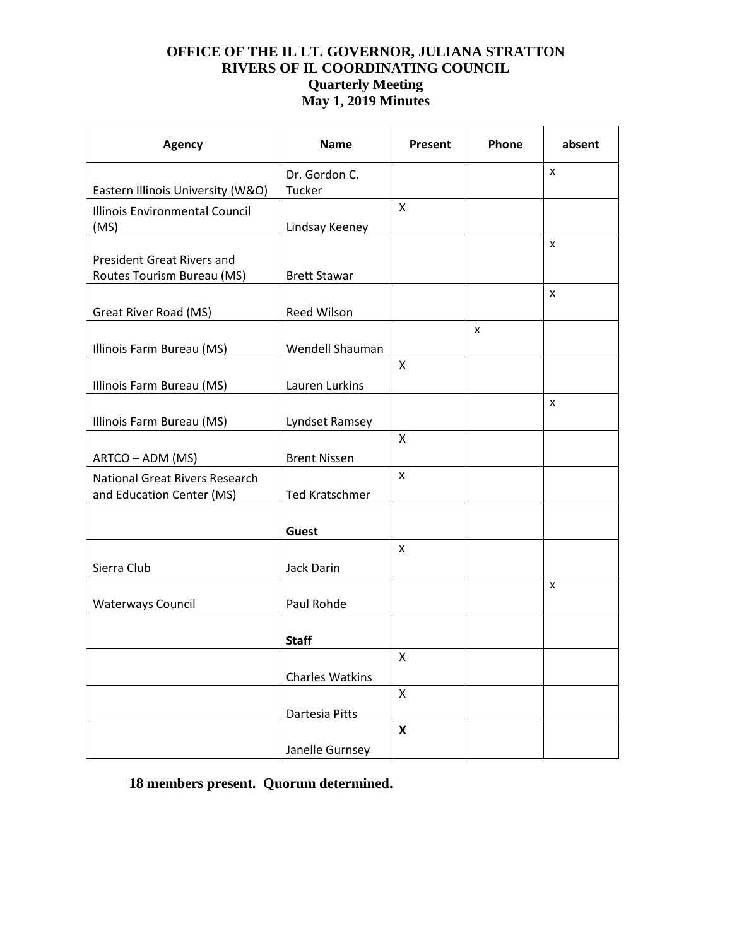| <b>Agency</b>                                               | <b>Name</b>            | Present            | Phone | absent         |
|-------------------------------------------------------------|------------------------|--------------------|-------|----------------|
|                                                             | Dr. Gordon C.          |                    |       | $\pmb{\times}$ |
| Eastern Illinois University (W&O)                           | Tucker                 |                    |       |                |
| Illinois Environmental Council<br>(MS)                      | Lindsay Keeney         | X                  |       |                |
| <b>President Great Rivers and</b>                           |                        |                    |       | X              |
| Routes Tourism Bureau (MS)                                  | <b>Brett Stawar</b>    |                    |       | X              |
| Great River Road (MS)                                       | <b>Reed Wilson</b>     |                    |       |                |
|                                                             |                        |                    | X     |                |
| Illinois Farm Bureau (MS)                                   | Wendell Shauman        |                    |       |                |
| Illinois Farm Bureau (MS)                                   | Lauren Lurkins         | X                  |       |                |
| Illinois Farm Bureau (MS)                                   | Lyndset Ramsey         |                    |       | X              |
|                                                             |                        | X                  |       |                |
| ARTCO - ADM (MS)                                            | <b>Brent Nissen</b>    |                    |       |                |
| National Great Rivers Research<br>and Education Center (MS) | <b>Ted Kratschmer</b>  | X                  |       |                |
|                                                             | <b>Guest</b>           |                    |       |                |
|                                                             |                        | X                  |       |                |
| Sierra Club                                                 | Jack Darin             |                    |       |                |
| <b>Waterways Council</b>                                    | Paul Rohde             |                    |       | x              |
|                                                             | <b>Staff</b>           |                    |       |                |
|                                                             |                        | X                  |       |                |
|                                                             | <b>Charles Watkins</b> |                    |       |                |
|                                                             | Dartesia Pitts         | X                  |       |                |
|                                                             |                        | $\pmb{\mathsf{X}}$ |       |                |
|                                                             | Janelle Gurnsey        |                    |       |                |

# **18 members present. Quorum determined.**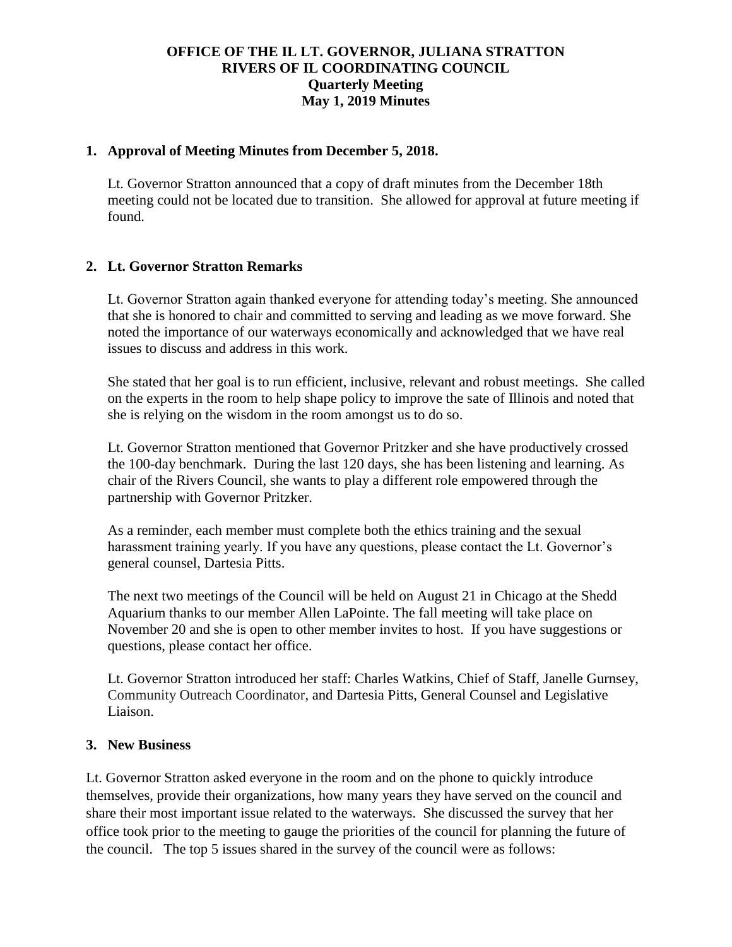#### **1. Approval of Meeting Minutes from December 5, 2018.**

Lt. Governor Stratton announced that a copy of draft minutes from the December 18th meeting could not be located due to transition. She allowed for approval at future meeting if found.

### **2. Lt. Governor Stratton Remarks**

Lt. Governor Stratton again thanked everyone for attending today's meeting. She announced that she is honored to chair and committed to serving and leading as we move forward. She noted the importance of our waterways economically and acknowledged that we have real issues to discuss and address in this work.

She stated that her goal is to run efficient, inclusive, relevant and robust meetings. She called on the experts in the room to help shape policy to improve the sate of Illinois and noted that she is relying on the wisdom in the room amongst us to do so.

Lt. Governor Stratton mentioned that Governor Pritzker and she have productively crossed the 100-day benchmark. During the last 120 days, she has been listening and learning. As chair of the Rivers Council, she wants to play a different role empowered through the partnership with Governor Pritzker.

As a reminder, each member must complete both the ethics training and the sexual harassment training yearly. If you have any questions, please contact the Lt. Governor's general counsel, Dartesia Pitts.

The next two meetings of the Council will be held on August 21 in Chicago at the Shedd Aquarium thanks to our member Allen LaPointe. The fall meeting will take place on November 20 and she is open to other member invites to host. If you have suggestions or questions, please contact her office.

Lt. Governor Stratton introduced her staff: Charles Watkins, Chief of Staff, Janelle Gurnsey, Community Outreach Coordinator, and Dartesia Pitts, General Counsel and Legislative Liaison.

#### **3. New Business**

Lt. Governor Stratton asked everyone in the room and on the phone to quickly introduce themselves, provide their organizations, how many years they have served on the council and share their most important issue related to the waterways. She discussed the survey that her office took prior to the meeting to gauge the priorities of the council for planning the future of the council. The top 5 issues shared in the survey of the council were as follows: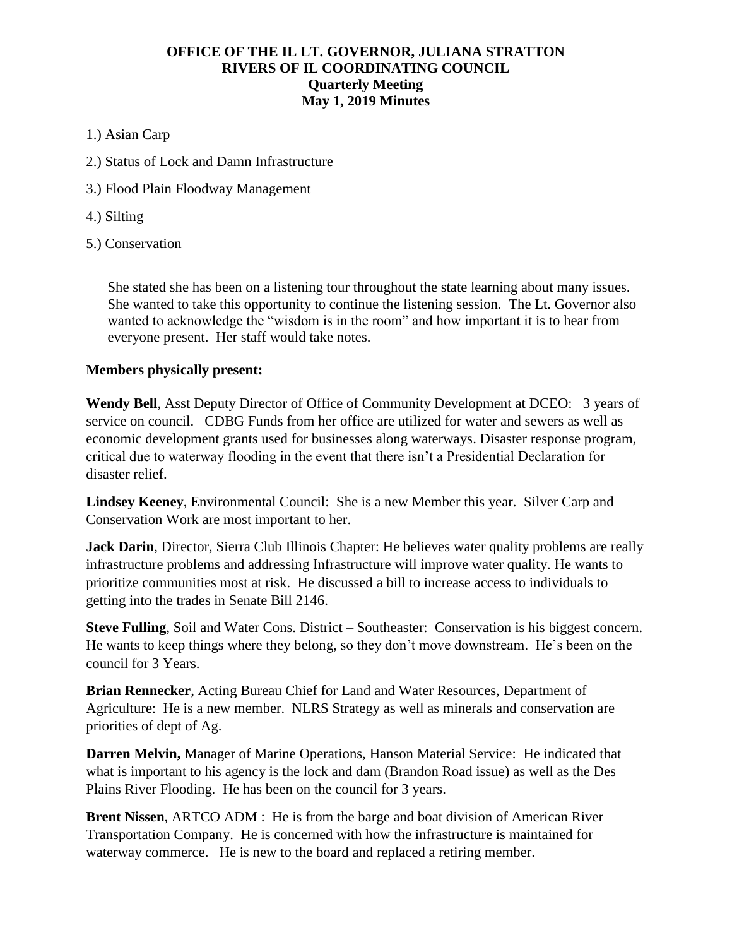- 1.) Asian Carp
- 2.) Status of Lock and Damn Infrastructure
- 3.) Flood Plain Floodway Management
- 4.) Silting
- 5.) Conservation

She stated she has been on a listening tour throughout the state learning about many issues. She wanted to take this opportunity to continue the listening session. The Lt. Governor also wanted to acknowledge the "wisdom is in the room" and how important it is to hear from everyone present. Her staff would take notes.

### **Members physically present:**

**Wendy Bell**, Asst Deputy Director of Office of Community Development at DCEO: 3 years of service on council. CDBG Funds from her office are utilized for water and sewers as well as economic development grants used for businesses along waterways. Disaster response program, critical due to waterway flooding in the event that there isn't a Presidential Declaration for disaster relief.

**Lindsey Keeney**, Environmental Council: She is a new Member this year. Silver Carp and Conservation Work are most important to her.

**Jack Darin**, Director, Sierra Club Illinois Chapter: He believes water quality problems are really infrastructure problems and addressing Infrastructure will improve water quality. He wants to prioritize communities most at risk. He discussed a bill to increase access to individuals to getting into the trades in Senate Bill 2146.

**Steve Fulling**, Soil and Water Cons. District – Southeaster: Conservation is his biggest concern. He wants to keep things where they belong, so they don't move downstream. He's been on the council for 3 Years.

**Brian Rennecker**, Acting Bureau Chief for Land and Water Resources, Department of Agriculture: He is a new member. NLRS Strategy as well as minerals and conservation are priorities of dept of Ag.

**Darren Melvin,** Manager of Marine Operations, Hanson Material Service: He indicated that what is important to his agency is the lock and dam (Brandon Road issue) as well as the Des Plains River Flooding. He has been on the council for 3 years.

**Brent Nissen**, ARTCO ADM : He is from the barge and boat division of American River Transportation Company. He is concerned with how the infrastructure is maintained for waterway commerce. He is new to the board and replaced a retiring member.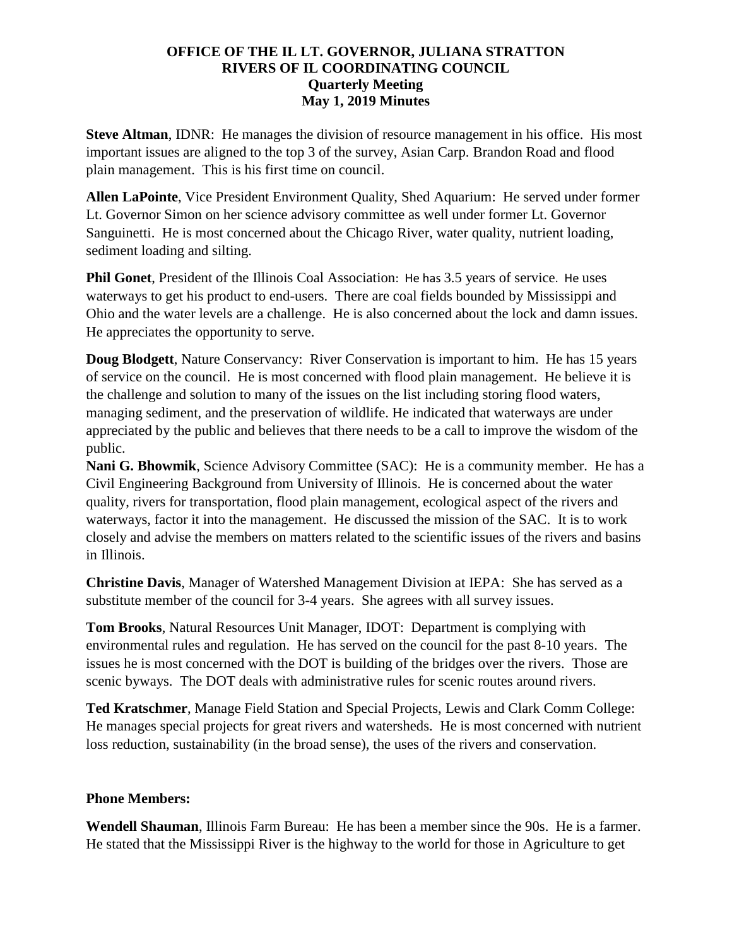**Steve Altman**, IDNR: He manages the division of resource management in his office. His most important issues are aligned to the top 3 of the survey, Asian Carp. Brandon Road and flood plain management. This is his first time on council.

**Allen LaPointe**, Vice President Environment Quality, Shed Aquarium: He served under former Lt. Governor Simon on her science advisory committee as well under former Lt. Governor Sanguinetti. He is most concerned about the Chicago River, water quality, nutrient loading, sediment loading and silting.

**Phil Gonet**, President of the Illinois Coal Association: He has 3.5 years of service. He uses waterways to get his product to end-users. There are coal fields bounded by Mississippi and Ohio and the water levels are a challenge. He is also concerned about the lock and damn issues. He appreciates the opportunity to serve.

**Doug Blodgett**, Nature Conservancy: River Conservation is important to him. He has 15 years of service on the council. He is most concerned with flood plain management. He believe it is the challenge and solution to many of the issues on the list including storing flood waters, managing sediment, and the preservation of wildlife. He indicated that waterways are under appreciated by the public and believes that there needs to be a call to improve the wisdom of the public.

**Nani G. Bhowmik**, Science Advisory Committee (SAC): He is a community member. He has a Civil Engineering Background from University of Illinois. He is concerned about the water quality, rivers for transportation, flood plain management, ecological aspect of the rivers and waterways, factor it into the management. He discussed the mission of the SAC. It is to work closely and advise the members on matters related to the scientific issues of the rivers and basins in Illinois.

**Christine Davis**, Manager of Watershed Management Division at IEPA: She has served as a substitute member of the council for 3-4 years. She agrees with all survey issues.

**Tom Brooks**, Natural Resources Unit Manager, IDOT: Department is complying with environmental rules and regulation. He has served on the council for the past 8-10 years. The issues he is most concerned with the DOT is building of the bridges over the rivers. Those are scenic byways. The DOT deals with administrative rules for scenic routes around rivers.

**Ted Kratschmer**, Manage Field Station and Special Projects, Lewis and Clark Comm College: He manages special projects for great rivers and watersheds. He is most concerned with nutrient loss reduction, sustainability (in the broad sense), the uses of the rivers and conservation.

### **Phone Members:**

**Wendell Shauman**, Illinois Farm Bureau: He has been a member since the 90s. He is a farmer. He stated that the Mississippi River is the highway to the world for those in Agriculture to get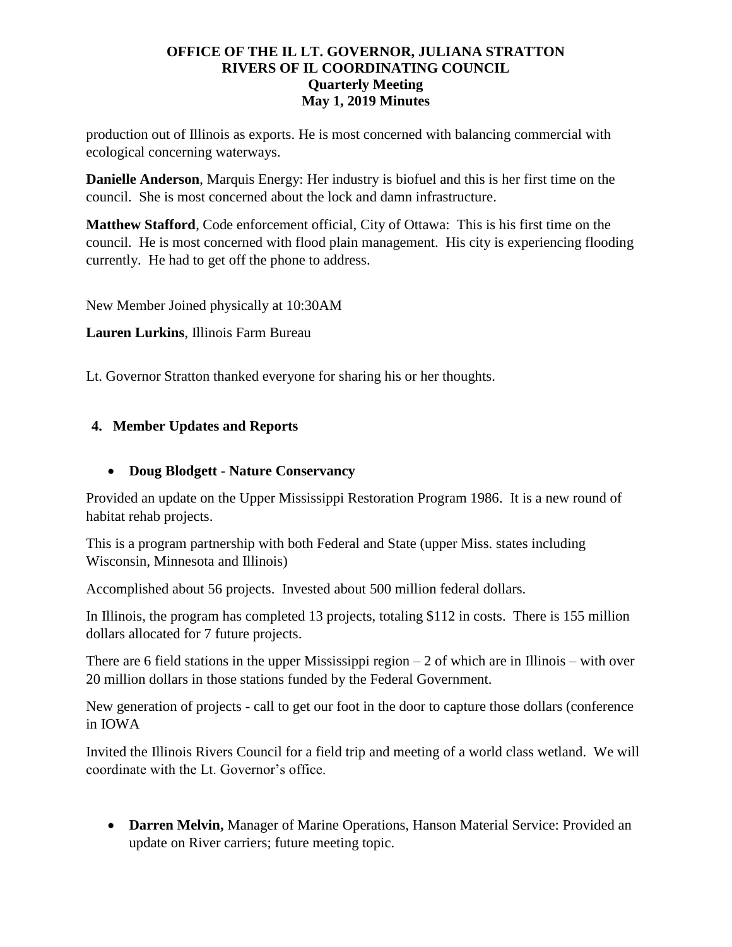production out of Illinois as exports. He is most concerned with balancing commercial with ecological concerning waterways.

**Danielle Anderson**, Marquis Energy: Her industry is biofuel and this is her first time on the council. She is most concerned about the lock and damn infrastructure.

**Matthew Stafford**, Code enforcement official, City of Ottawa: This is his first time on the council. He is most concerned with flood plain management. His city is experiencing flooding currently. He had to get off the phone to address.

New Member Joined physically at 10:30AM

**Lauren Lurkins**, Illinois Farm Bureau

Lt. Governor Stratton thanked everyone for sharing his or her thoughts.

# **4. Member Updates and Reports**

## • **Doug Blodgett - Nature Conservancy**

Provided an update on the Upper Mississippi Restoration Program 1986. It is a new round of habitat rehab projects.

This is a program partnership with both Federal and State (upper Miss. states including Wisconsin, Minnesota and Illinois)

Accomplished about 56 projects. Invested about 500 million federal dollars.

In Illinois, the program has completed 13 projects, totaling \$112 in costs. There is 155 million dollars allocated for 7 future projects.

There are 6 field stations in the upper Mississippi region  $-2$  of which are in Illinois – with over 20 million dollars in those stations funded by the Federal Government.

New generation of projects - call to get our foot in the door to capture those dollars (conference in IOWA

Invited the Illinois Rivers Council for a field trip and meeting of a world class wetland. We will coordinate with the Lt. Governor's office.

• **Darren Melvin,** Manager of Marine Operations, Hanson Material Service: Provided an update on River carriers; future meeting topic.